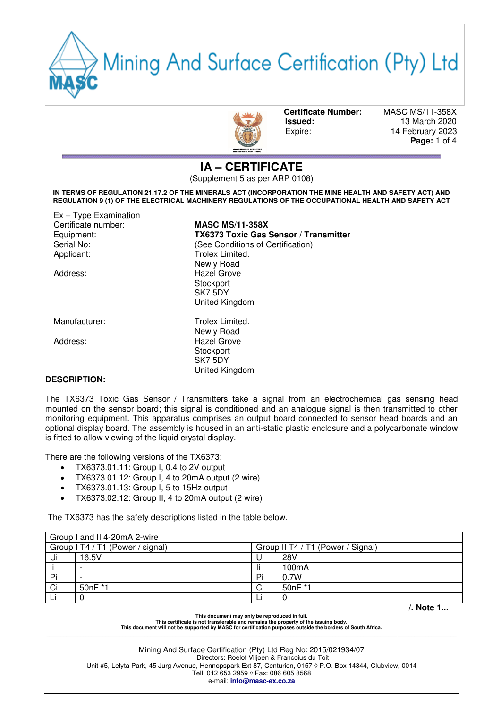Mining And Surface Certification (Pty) Ltd



 **Certificate Number:** MASC MS/11-358X **Issued:** 13 March 2020 Expire: 14 February 2023  **Page:** 1 of 4

**IA – CERTIFICATE** 

(Supplement 5 as per ARP 0108)

**IN TERMS OF REGULATION 21.17.2 OF THE MINERALS ACT (INCORPORATION THE MINE HEALTH AND SAFETY ACT) AND REGULATION 9 (1) OF THE ELECTRICAL MACHINERY REGULATIONS OF THE OCCUPATIONAL HEALTH AND SAFETY ACT** 

Ex – Type Examination Certificate number: **MASC MS/11-358X**  Equipment: **TX6373 Toxic Gas Sensor / Transmitter**<br>
Serial No: **TRIP:** (See Conditions of Certification) Serial No:<br>
Applicant: 
See Conditions of Certification<br>
Trolex Limited. Trolex Limited. Newly Road Address: Hazel Grove **Stockport** SK7 5DY United Kingdom Manufacturer: Trolex Limited. Newly Road Address: Hazel Grove **Stockport** SK7 5DY United Kingdom

### **DESCRIPTION:**

The TX6373 Toxic Gas Sensor / Transmitters take a signal from an electrochemical gas sensing head mounted on the sensor board; this signal is conditioned and an analogue signal is then transmitted to other monitoring equipment. This apparatus comprises an output board connected to sensor head boards and an optional display board. The assembly is housed in an anti-static plastic enclosure and a polycarbonate window is fitted to allow viewing of the liquid crystal display.

There are the following versions of the TX6373:

- TX6373.01.11: Group I, 0.4 to 2V output
- TX6373.01.12: Group I, 4 to 20mA output (2 wire)
- TX6373.01.13: Group I, 5 to 15Hz output
- TX6373.02.12: Group II, 4 to 20mA output (2 wire)

The TX6373 has the safety descriptions listed in the table below.

| Group I and II 4-20mA 2-wire     |                          |                                   |         |           |  |
|----------------------------------|--------------------------|-----------------------------------|---------|-----------|--|
| Group I T4 / T1 (Power / signal) |                          | Group II T4 / T1 (Power / Signal) |         |           |  |
| Ui                               | 16.5V                    | Ui                                | 28V     |           |  |
| li                               |                          |                                   | 100mA   |           |  |
| Pi                               | $\overline{\phantom{0}}$ | Pi                                | 0.7W    |           |  |
| Ci                               | 50nF *1                  | Ci                                | 50nF *1 |           |  |
|                                  |                          |                                   |         |           |  |
|                                  |                          |                                   |         | /. Note 1 |  |

**This document may only be reproduced in full.** 

**This certificate is not transferable and remains the property of the issuing body. This document will not be supported by MASC for certification purposes outside the borders of South Africa. \_\_\_\_\_\_\_\_\_\_\_\_\_\_\_\_\_\_\_\_\_\_\_\_\_\_\_\_\_\_\_\_\_\_\_\_\_\_\_\_\_\_\_\_\_\_\_\_\_\_\_\_\_\_\_\_\_\_\_\_\_\_\_\_\_\_\_\_\_\_\_\_\_\_\_\_\_\_\_\_\_\_\_\_\_\_\_\_\_\_\_\_\_\_\_\_\_\_\_\_\_\_\_\_\_\_\_\_\_\_\_\_\_\_\_\_\_\_\_\_\_\_\_\_\_\_\_\_\_\_\_\_\_\_\_\_\_\_\_\_\_\_\_\_\_\_**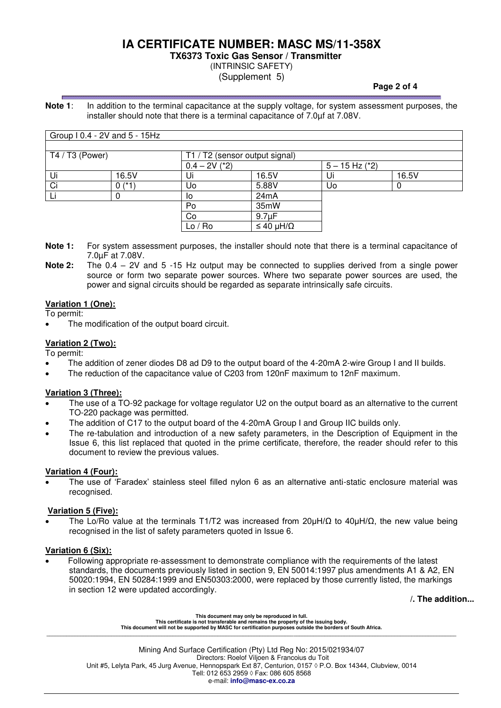# **IA CERTIFICATE NUMBER: MASC MS/11-358X**

**TX6373 Toxic Gas Sensor / Transmitter** 

## (INTRINSIC SAFETY)

(Supplement 5)

**Note 1**: In addition to the terminal capacitance at the supply voltage, for system assessment purposes, the installer should note that there is a terminal capacitance of 7.0µf at 7.08V.

|                 | Group I 0.4 - 2V and 5 - 15Hz |                 |                                |                    |       |  |  |
|-----------------|-------------------------------|-----------------|--------------------------------|--------------------|-------|--|--|
|                 |                               |                 |                                |                    |       |  |  |
| T4 / T3 (Power) |                               |                 | T1 / T2 (sensor output signal) |                    |       |  |  |
|                 |                               | $0.4 - 2V$ (*2) |                                | $5 - 15$ Hz $(*2)$ |       |  |  |
| Ui              | 16.5V                         | Ui              | 16.5V                          | Ui                 | 16.5V |  |  |
| Ci              | $0$ (*1                       | Uo              | 5.88V                          | Uo                 |       |  |  |
|                 |                               | ıо              | 24mA                           |                    |       |  |  |
|                 |                               | Po              | 35mW                           |                    |       |  |  |
|                 |                               | Co              | 9.7 <sub>µ</sub> F             |                    |       |  |  |
|                 |                               | Lo / Ro         | $\leq 40 \mu H/\Omega$         |                    |       |  |  |

**Note 1:** For system assessment purposes, the installer should note that there is a terminal capacitance of 7.0µF at 7.08V.

**Note 2:** The 0.4 – 2V and 5 -15 Hz output may be connected to supplies derived from a single power source or form two separate power sources. Where two separate power sources are used, the power and signal circuits should be regarded as separate intrinsically safe circuits.

### **Variation 1 (One):**

To permit:

The modification of the output board circuit.

## **Variation 2 (Two):**

To permit:

- The addition of zener diodes D8 ad D9 to the output board of the 4-20mA 2-wire Group I and II builds.
- The reduction of the capacitance value of C203 from 120nF maximum to 12nF maximum.

### **Variation 3 (Three):**

- The use of a TO-92 package for voltage regulator U2 on the output board as an alternative to the current TO-220 package was permitted.
- The addition of C17 to the output board of the 4-20mA Group I and Group IIC builds only.
- The re-tabulation and introduction of a new safety parameters, in the Description of Equipment in the Issue 6, this list replaced that quoted in the prime certificate, therefore, the reader should refer to this document to review the previous values.

### **Variation 4 (Four):**

 The use of 'Faradex' stainless steel filled nylon 6 as an alternative anti-static enclosure material was recognised.

### **Variation 5 (Five):**

The Lo/Ro value at the terminals T1/T2 was increased from  $20\mu H/\Omega$  to  $40\mu H/\Omega$ , the new value being recognised in the list of safety parameters quoted in Issue 6.

### **Variation 6 (Six):**

 Following appropriate re-assessment to demonstrate compliance with the requirements of the latest standards, the documents previously listed in section 9, EN 50014:1997 plus amendments A1 & A2, EN 50020:1994, EN 50284:1999 and EN50303:2000, were replaced by those currently listed, the markings in section 12 were updated accordingly.

 **/. The addition...** 

**This document may only be reproduced in full. This certificate is not transferable and remains the property of the issuing body. This document will not be supported by MASC for certification purposes outside the borders of South Africa. \_\_\_\_\_\_\_\_\_\_\_\_\_\_\_\_\_\_\_\_\_\_\_\_\_\_\_\_\_\_\_\_\_\_\_\_\_\_\_\_\_\_\_\_\_\_\_\_\_\_\_\_\_\_\_\_\_\_\_\_\_\_\_\_\_\_\_\_\_\_\_\_\_\_\_\_\_\_\_\_\_\_\_\_\_\_\_\_\_\_\_\_\_\_\_\_\_\_\_\_\_\_\_\_\_\_\_\_\_\_\_\_\_\_\_\_\_\_\_\_\_\_\_\_\_\_\_\_\_\_\_\_\_\_\_\_\_\_\_\_\_\_\_\_\_\_**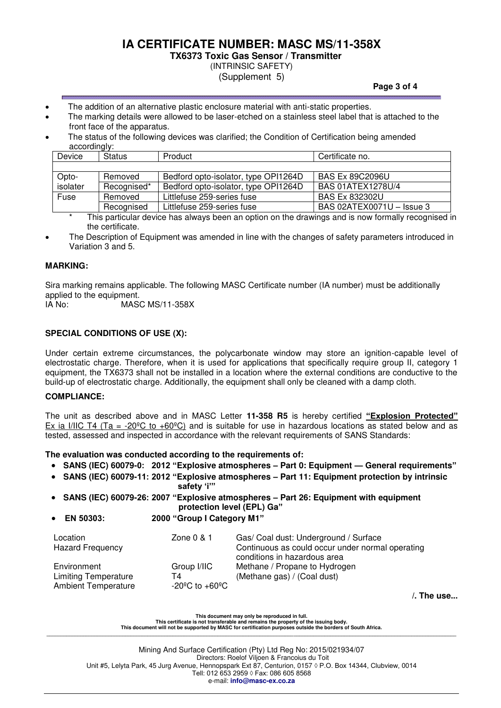# **IA CERTIFICATE NUMBER: MASC MS/11-358X**

**TX6373 Toxic Gas Sensor / Transmitter** 

(INTRINSIC SAFETY)

(Supplement 5)

- The addition of an alternative plastic enclosure material with anti-static properties.
- The marking details were allowed to be laser-etched on a stainless steel label that is attached to the front face of the apparatus.
- The status of the following devices was clarified; the Condition of Certification being amended accordingly:

| Device   | $\cdots$<br><b>Status</b> | Product                              | Certificate no.           |
|----------|---------------------------|--------------------------------------|---------------------------|
|          |                           |                                      |                           |
| Opto-    | Removed                   | Bedford opto-isolator, type OPI1264D | <b>BAS Ex 89C2096U</b>    |
| isolater | Recognised*               | Bedford opto-isolator, type OPI1264D | BAS 01ATEX1278U/4         |
| Fuse     | Removed                   | Littlefuse 259-series fuse           | <b>BAS Ex 832302U</b>     |
|          | Recognised                | Littlefuse 259-series fuse           | BAS 02ATEX0071U - Issue 3 |

This particular device has always been an option on the drawings and is now formally recognised in the certificate.

 The Description of Equipment was amended in line with the changes of safety parameters introduced in Variation 3 and 5.

### **MARKING:**

Sira marking remains applicable. The following MASC Certificate number (IA number) must be additionally applied to the equipment.<br>IA No: MAS

IA No: MASC MS/11-358X

### **SPECIAL CONDITIONS OF USE (X):**

Under certain extreme circumstances, the polycarbonate window may store an ignition-capable level of electrostatic charge. Therefore, when it is used for applications that specifically require group II, category 1 equipment, the TX6373 shall not be installed in a location where the external conditions are conductive to the build-up of electrostatic charge. Additionally, the equipment shall only be cleaned with a damp cloth.

#### **COMPLIANCE:**

The unit as described above and in MASC Letter **11-358 R5** is hereby certified **"Explosion Protected"** Ex ia I/IIC T4 (Ta = -20 $^{\circ}$ C to +60 $^{\circ}$ C) and is suitable for use in hazardous locations as stated below and as tested, assessed and inspected in accordance with the relevant requirements of SANS Standards:

**The evaluation was conducted according to the requirements of:** 

- **SANS (IEC) 60079-0: 2012 "Explosive atmospheres – Part 0: Equipment — General requirements"**
- **SANS (IEC) 60079-11: 2012 "Explosive atmospheres – Part 11: Equipment protection by intrinsic safety 'i'"**
- **SANS (IEC) 60079-26: 2007 "Explosive atmospheres – Part 26: Equipment with equipment protection level (EPL) Ga"**
- **EN 50303: 2000 "Group I Category M1"**

| Location<br><b>Hazard Frequency</b>                                      | Zone $0 & 1$                        | Gas/ Coal dust: Underground / Surface<br>Continuous as could occur under normal operating<br>conditions in hazardous area |
|--------------------------------------------------------------------------|-------------------------------------|---------------------------------------------------------------------------------------------------------------------------|
| Environment<br><b>Limiting Temperature</b><br><b>Ambient Temperature</b> | Group I/IIC<br>Τ4<br>-20ºC to +60ºC | Methane / Propane to Hydrogen<br>(Methane gas) / (Coal dust)                                                              |
|                                                                          |                                     |                                                                                                                           |

**/. The use...** 

**This document may only be reproduced in full.** 

**This certificate is not transferable and remains the property of the issuing body. This document will not be supported by MASC for certification purposes outside the borders of South Africa. \_\_\_\_\_\_\_\_\_\_\_\_\_\_\_\_\_\_\_\_\_\_\_\_\_\_\_\_\_\_\_\_\_\_\_\_\_\_\_\_\_\_\_\_\_\_\_\_\_\_\_\_\_\_\_\_\_\_\_\_\_\_\_\_\_\_\_\_\_\_\_\_\_\_\_\_\_\_\_\_\_\_\_\_\_\_\_\_\_\_\_\_\_\_\_\_\_\_\_\_\_\_\_\_\_\_\_\_\_\_\_\_\_\_\_\_\_\_\_\_\_\_\_\_\_\_\_\_\_\_\_\_\_\_\_\_\_\_\_\_\_\_\_\_\_\_**